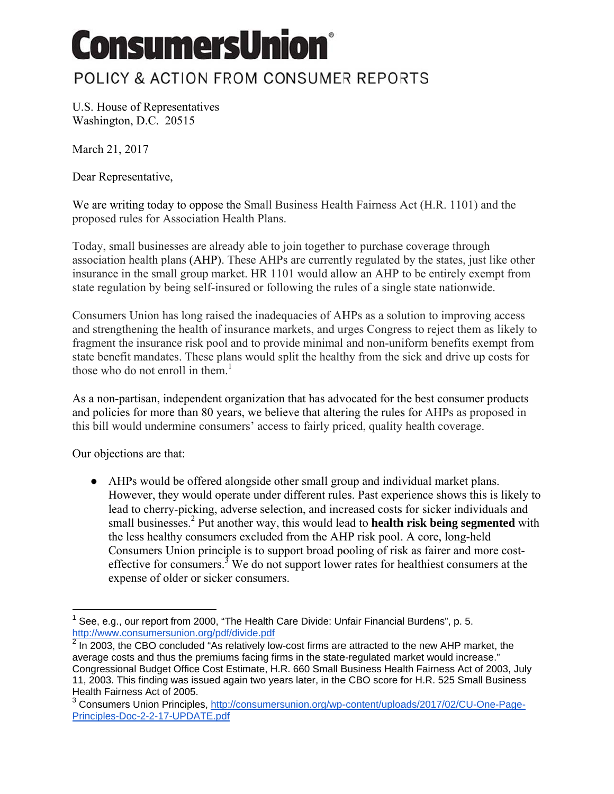## ConsumersUnion®

## POLICY & ACTION FROM CONSUMER REPORTS

U.S. House of Representatives Washington, D.C. 20515

March 21, 2017

Dear Representative.

We are writing today to oppose the Small Business Health Fairness Act (H.R. 1101) and the proposed rules for Association Health Plans.

Today, small businesses are already able to join together to purchase coverage through association health plans (AHP). These AHPs are currently regulated by the states, just like other insurance in the small group market. HR 1101 would allow an AHP to be entirely exempt from state regulation by being self-insured or following the rules of a single state nationwide.

Consumers Union has long raised the inadequacies of AHPs as a solution to improving access and strengthening the health of insurance markets, and urges Congress to reject them as likely to fragment the insurance risk pool and to provide minimal and non-uniform benefits exempt from state benefit mandates. These plans would split the healthy from the sick and drive up costs for those who do not enroll in them. $<sup>1</sup>$ </sup>

As a non-partisan, independent organization that has advocated for the best consumer products and policies for more than 80 years, we believe that altering the rules for AHPs as proposed in this bill would undermine consumers' access to fairly priced, quality health coverage.

Our objections are that:

• AHPs would be offered alongside other small group and individual market plans. However, they would operate under different rules. Past experience shows this is likely to lead to cherry-picking, adverse selection, and increased costs for sicker individuals and small businesses.<sup>2</sup> Put another way, this would lead to **health risk being segmented** with the less healthy consumers excluded from the AHP risk pool. A core, long-held Consumers Union principle is to support broad pooling of risk as fairer and more costeffective for consumers.<sup>3</sup> We do not support lower rates for healthiest consumers at the expense of older or sicker consumers.

See, e.g., our report from 2000, "The Health Care Divide: Unfair Financial Burdens", p. 5. http://www.consumersunion.org/pdf/divide.pdf

 $2$  In 2003. the CBO concluded "As relatively low-cost firms are attracted to the new AHP market, the average costs and thus the premiums facing firms in the state-regulated market would increase." Congressional Budget Office Cost Estimate, H.R. 660 Small Business Health Fairness Act of 2003, July 11, 2003. This finding was issued again two years later, in the CBO score for H.R. 525 Small Business Health Fairness Act of 2005.

<sup>&</sup>lt;sup>3</sup> Consumers Union Principles, http://consumersunion.org/wp-content/uploads/2017/02/CU-One-Page-Principles-Doc-2-2-17-UPDATE.pdf